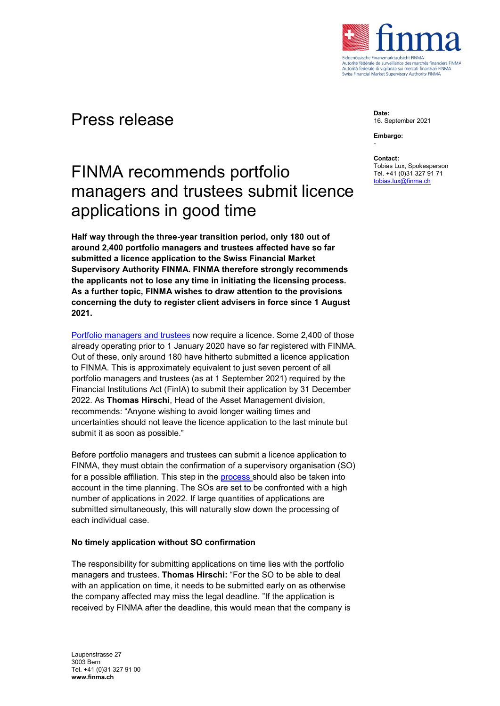

## Press release

**Date:** 16. September 2021

**Embargo:** -

#### **Contact:**

Tobias Lux, Spokesperson Tel. +41 (0)31 327 91 71 [tobias.lux@finma.ch](mailto:tobias.lux@finma.ch)

# FINMA recommends portfolio managers and trustees submit licence applications in good time

**Half way through the three-year transition period, only 180 out of around 2,400 portfolio managers and trustees affected have so far submitted a licence application to the Swiss Financial Market Supervisory Authority FINMA. FINMA therefore strongly recommends the applicants not to lose any time in initiating the licensing process. As a further topic, FINMA wishes to draw attention to the provisions concerning the duty to register client advisers in force since 1 August 2021.**

[Portfolio managers](https://www.finma.ch/en/documentation/dossier/dossier-vermoegensverwalter-und-trustees/) and trustees now require a licence. Some 2,400 of those already operating prior to 1 January 2020 have so far registered with FINMA. Out of these, only around 180 have hitherto submitted a licence application to FINMA. This is approximately equivalent to just seven percent of all portfolio managers and trustees (as at 1 September 2021) required by the Financial Institutions Act (FinIA) to submit their application by 31 December 2022. As **Thomas Hirschi**, Head of the Asset Management division, recommends: "Anyone wishing to avoid longer waiting times and uncertainties should not leave the licence application to the last minute but submit it as soon as possible."

Before portfolio managers and trustees can submit a licence application to FINMA, they must obtain the confirmation of a supervisory organisation (SO) for a possible affiliation. This step in the **process** should also be taken into account in the time planning. The SOs are set to be confronted with a high number of applications in 2022. If large quantities of applications are submitted simultaneously, this will naturally slow down the processing of each individual case.

### **No timely application without SO confirmation**

The responsibility for submitting applications on time lies with the portfolio managers and trustees. **Thomas Hirschi:** "For the SO to be able to deal with an application on time, it needs to be submitted early on as otherwise the company affected may miss the legal deadline. "If the application is received by FINMA after the deadline, this would mean that the company is